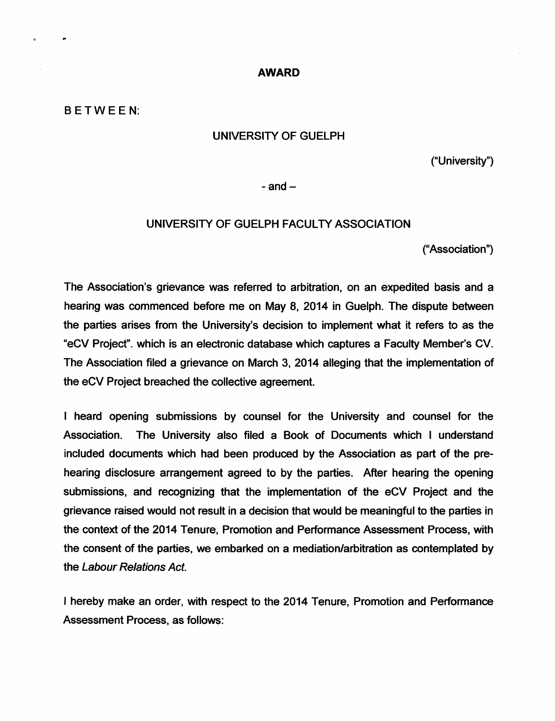## *AWARD*

## BETWEEN:

## UNIVERSITY OF GUELPH

("University")

 $-$ and $-$ 

## UNIVERSITY OF GUELPH FACULTY ASSOCIATION

("Association")

The Association's grievance was referred to arbitration, on an expedited basis and a hearing was commenced before me on May 8, 2014 in Guelph. The dispute between the parties arises from the University's decision to implement what it refers to as the "eCV Project", which is an electronic database which captures a Faculty Member's CV. The Association filed a grievance on March 3, 2014 alleging that the implementation of the eCV Project breached the collective agreement.

I heard opening submissions by counsel for the University and counsel for the Association. The University also filed a Book of Documents which I understand included documents which had been produced by the Association as part of the pre hearing disclosure arrangement agreed to by the parties. After hearing the opening submissions, and recognizing that the implementation of the eCV Project and the grievance raised would not result in a decision that would be meaningful to the parties in the context of the 2014 Tenure, Promotion and Performance Assessment Process, with the consent of the parties, we embarked on a mediation/arbitration as contemplated by the **Labour Relations Act**

I hereby make an order, with respect to the 2014 Tenure, Promotion and Performance Assessment Process, as follows: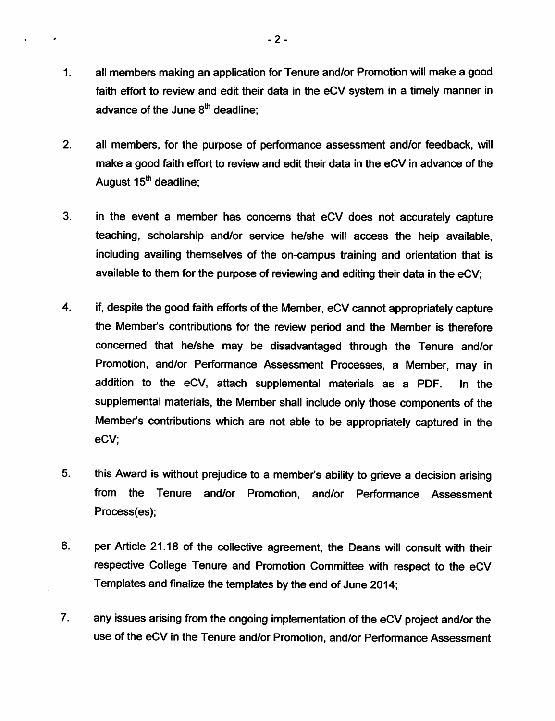- *1. all members making an application for Tenure and/or Promotion will make a good faith effort to review and edit their data in the eCV system in a timely manner in advance of the June 8th deadline;*
- *2. all members, for the purpose of performance assessment and/or feedback, will make a good faith effort to review and edit their data in the eCV in advance of the August 15th deadline;*
- *3. in the event a member has concerns that eCV does not accurately capture teaching, scholarship and/or service he/she will access the help available, including availing themselves of the on-campus training and orientation that is available to them forthe purpose of reviewing and editing their data in the eCV;*
- *4. if, despite the good faith efforts of the Member, eCV cannot appropriatelycapture the Member's contributions for the review period and the Member is therefore concerned that he/she may be disadvantaged through the Tenure and/or Promotion, and/or Performance Assessment Processes, a Member, may in addition to the eCV, attach supplemental materials as a PDF. In the supplemental materials, the Member shall include only those components of the Member's contributions which are not able to be appropriately captured in the eCV;*
- *5. this Award is without prejudice to a member's ability to grieve a decision arising from the Tenure and/or Promotion, and/or Performance Assessment Process(es);*
- *6. per Article 21.18 of the collective agreement, the Deans will consult with their respective College Tenure and Promotion Committee with respect to the eCV Templates and finalize the templates by the end of June 2014;*
- *7. any issues arising from the ongoing implementation of the eCV project and/or the use of the eCV in the Tenure and/or Promotion, and/or Performance Assessment*